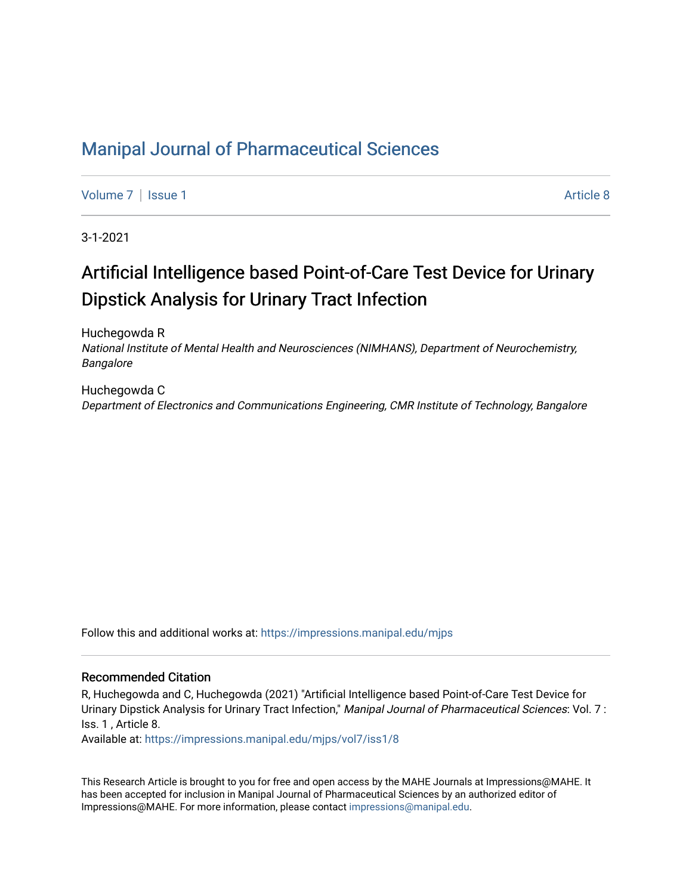## [Manipal Journal of Pharmaceutical Sciences](https://impressions.manipal.edu/mjps)

[Volume 7](https://impressions.manipal.edu/mjps/vol7) | [Issue 1](https://impressions.manipal.edu/mjps/vol7/iss1) Article 8

3-1-2021

# Artificial Intelligence based Point-of-Care Test Device for Urinary Dipstick Analysis for Urinary Tract Infection

Huchegowda R National Institute of Mental Health and Neurosciences (NIMHANS), Department of Neurochemistry, Bangalore

Huchegowda C Department of Electronics and Communications Engineering, CMR Institute of Technology, Bangalore

Follow this and additional works at: [https://impressions.manipal.edu/mjps](https://impressions.manipal.edu/mjps?utm_source=impressions.manipal.edu%2Fmjps%2Fvol7%2Fiss1%2F8&utm_medium=PDF&utm_campaign=PDFCoverPages)

#### Recommended Citation

R, Huchegowda and C, Huchegowda (2021) "Artificial Intelligence based Point-of-Care Test Device for Urinary Dipstick Analysis for Urinary Tract Infection," Manipal Journal of Pharmaceutical Sciences: Vol. 7: Iss. 1 , Article 8.

Available at: [https://impressions.manipal.edu/mjps/vol7/iss1/8](https://impressions.manipal.edu/mjps/vol7/iss1/8?utm_source=impressions.manipal.edu%2Fmjps%2Fvol7%2Fiss1%2F8&utm_medium=PDF&utm_campaign=PDFCoverPages)

This Research Article is brought to you for free and open access by the MAHE Journals at Impressions@MAHE. It has been accepted for inclusion in Manipal Journal of Pharmaceutical Sciences by an authorized editor of Impressions@MAHE. For more information, please contact [impressions@manipal.edu](mailto:impressions@manipal.edu).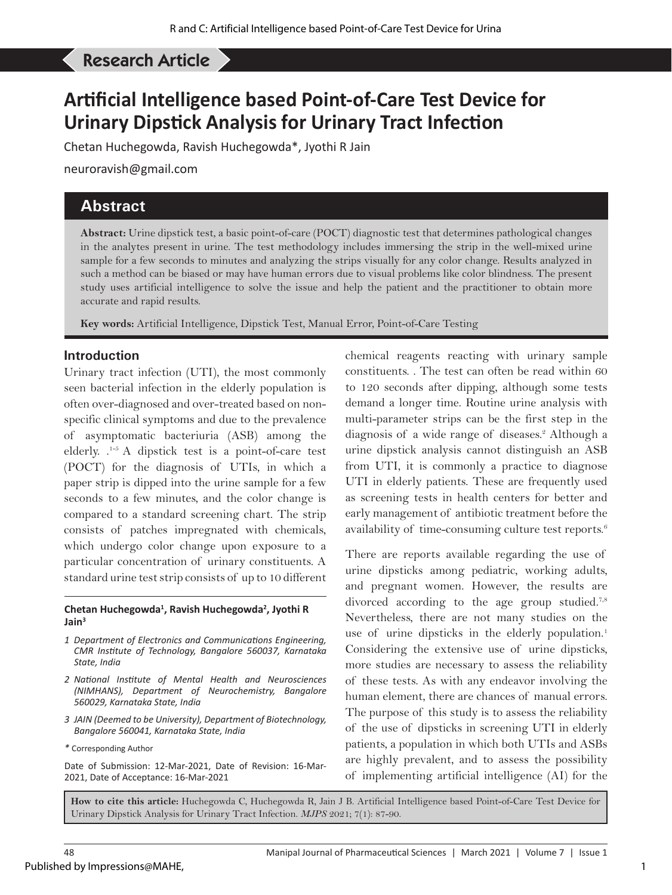## Huchegowda C, *et al*: Artificial Intelligence based Point-of-Care Test Device for Urinary Dipstick Analysis... Research Article

## **Artificial Intelligence based Point-of-Care Test Device for Urinary Dipstick Analysis for Urinary Tract Infection**

Chetan Huchegowda, Ravish Huchegowda\*, Jyothi R Jain

neuroravish@gmail.com

## **Abstract**

**Abstract:** Urine dipstick test, a basic point-of-care (POCT) diagnostic test that determines pathological changes in the analytes present in urine. The test methodology includes immersing the strip in the well-mixed urine sample for a few seconds to minutes and analyzing the strips visually for any color change. Results analyzed in such a method can be biased or may have human errors due to visual problems like color blindness. The present study uses artificial intelligence to solve the issue and help the patient and the practitioner to obtain more accurate and rapid results.

**Key words:** Artificial Intelligence, Dipstick Test, Manual Error, Point-of-Care Testing

### **Introduction**

Urinary tract infection (UTI), the most commonly seen bacterial infection in the elderly population is often over-diagnosed and over-treated based on nonspecific clinical symptoms and due to the prevalence of asymptomatic bacteriuria (ASB) among the elderly. .1-5 A dipstick test is a point-of-care test (POCT) for the diagnosis of UTIs, in which a paper strip is dipped into the urine sample for a few seconds to a few minutes, and the color change is compared to a standard screening chart. The strip consists of patches impregnated with chemicals, which undergo color change upon exposure to a particular concentration of urinary constituents. A standard urine test strip consists of up to 10 different

#### **Chetan Huchegowda1 , Ravish Huchegowda2 , Jyothi R Jain3**

- *1 Department of Electronics and Communications Engineering, CMR Institute of Technology, Bangalore 560037, Karnataka State, India*
- *2 National Institute of Mental Health and Neurosciences (NIMHANS), Department of Neurochemistry, Bangalore 560029, Karnataka State, India*
- *3 JAIN (Deemed to be University), Department of Biotechnology, Bangalore 560041, Karnataka State, India*
- *\** Corresponding Author

Date of Submission: 12-Mar-2021, Date of Revision: 16-Mar-2021, Date of Acceptance: 16-Mar-2021

chemical reagents reacting with urinary sample constituents. . The test can often be read within 60 to 120 seconds after dipping, although some tests demand a longer time. Routine urine analysis with multi-parameter strips can be the first step in the diagnosis of a wide range of diseases.<sup>2</sup> Although a urine dipstick analysis cannot distinguish an ASB from UTI, it is commonly a practice to diagnose UTI in elderly patients. These are frequently used as screening tests in health centers for better and early management of antibiotic treatment before the availability of time-consuming culture test reports.<sup>6</sup>

There are reports available regarding the use of urine dipsticks among pediatric, working adults, and pregnant women. However, the results are divorced according to the age group studied.<sup>7,8</sup> Nevertheless, there are not many studies on the use of urine dipsticks in the elderly population.<sup>1</sup> Considering the extensive use of urine dipsticks, more studies are necessary to assess the reliability of these tests. As with any endeavor involving the human element, there are chances of manual errors. The purpose of this study is to assess the reliability of the use of dipsticks in screening UTI in elderly patients, a population in which both UTIs and ASBs are highly prevalent, and to assess the possibility of implementing artificial intelligence (AI) for the

**How to cite this article:** Huchegowda C, Huchegowda R, Jain J B. Artificial Intelligence based Point-of-Care Test Device for Urinary Dipstick Analysis for Urinary Tract Infection. *MJPS* 2021; 7(1): 87-90.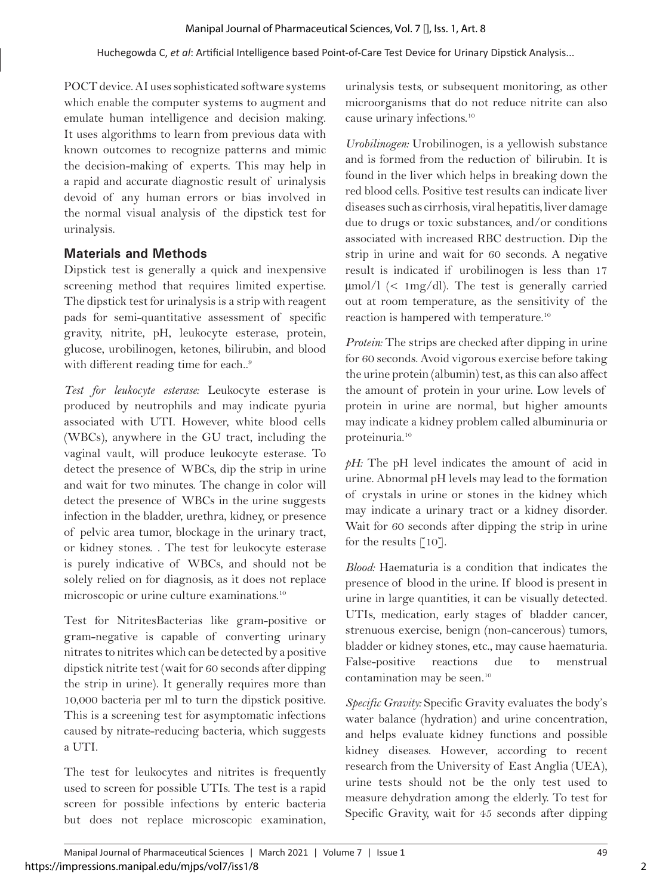POCT device. AI uses sophisticated software systems which enable the computer systems to augment and emulate human intelligence and decision making. It uses algorithms to learn from previous data with known outcomes to recognize patterns and mimic the decision-making of experts. This may help in a rapid and accurate diagnostic result of urinalysis devoid of any human errors or bias involved in the normal visual analysis of the dipstick test for urinalysis.

## **Materials and Methods**

Dipstick test is generally a quick and inexpensive screening method that requires limited expertise. The dipstick test for urinalysis is a strip with reagent pads for semi-quantitative assessment of specific gravity, nitrite, pH, leukocyte esterase, protein, glucose, urobilinogen, ketones, bilirubin, and blood with different reading time for each..9

*Test for leukocyte esterase:* Leukocyte esterase is produced by neutrophils and may indicate pyuria associated with UTI. However, white blood cells (WBCs), anywhere in the GU tract, including the vaginal vault, will produce leukocyte esterase. To detect the presence of WBCs, dip the strip in urine and wait for two minutes. The change in color will detect the presence of WBCs in the urine suggests infection in the bladder, urethra, kidney, or presence of pelvic area tumor, blockage in the urinary tract, or kidney stones. . The test for leukocyte esterase is purely indicative of WBCs, and should not be solely relied on for diagnosis, as it does not replace microscopic or urine culture examinations.10

Test for NitritesBacterias like gram-positive or gram-negative is capable of converting urinary nitrates to nitrites which can be detected by a positive dipstick nitrite test (wait for 60 seconds after dipping the strip in urine). It generally requires more than 10,000 bacteria per ml to turn the dipstick positive. This is a screening test for asymptomatic infections caused by nitrate-reducing bacteria, which suggests a UTI.

The test for leukocytes and nitrites is frequently used to screen for possible UTIs. The test is a rapid screen for possible infections by enteric bacteria but does not replace microscopic examination,

urinalysis tests, or subsequent monitoring, as other microorganisms that do not reduce nitrite can also cause urinary infections.10

*Urobilinogen:* Urobilinogen, is a yellowish substance and is formed from the reduction of bilirubin. It is found in the liver which helps in breaking down the red blood cells. Positive test results can indicate liver diseases such as cirrhosis, viral hepatitis, liver damage due to drugs or toxic substances, and/or conditions associated with increased RBC destruction. Dip the strip in urine and wait for 60 seconds. A negative result is indicated if urobilinogen is less than 17 µmol/l (< 1mg/dl). The test is generally carried out at room temperature, as the sensitivity of the reaction is hampered with temperature.10

*Protein:* The strips are checked after dipping in urine for 60 seconds. Avoid vigorous exercise before taking the urine protein (albumin) test, as this can also affect the amount of protein in your urine. Low levels of protein in urine are normal, but higher amounts may indicate a kidney problem called albuminuria or proteinuria.10

*pH:* The pH level indicates the amount of acid in urine. Abnormal pH levels may lead to the formation of crystals in urine or stones in the kidney which may indicate a urinary tract or a kidney disorder. Wait for 60 seconds after dipping the strip in urine for the results  $\lceil 10 \rceil$ .

*Blood:* Haematuria is a condition that indicates the presence of blood in the urine. If blood is present in urine in large quantities, it can be visually detected. UTIs, medication, early stages of bladder cancer, strenuous exercise, benign (non-cancerous) tumors, bladder or kidney stones, etc., may cause haematuria. False-positive reactions due to menstrual contamination may be seen.<sup>10</sup>

*Specific Gravity:* Specific Gravity evaluates the body's water balance (hydration) and urine concentration, and helps evaluate kidney functions and possible kidney diseases. However, according to recent research from the University of East Anglia (UEA), urine tests should not be the only test used to measure dehydration among the elderly. To test for Specific Gravity, wait for 45 seconds after dipping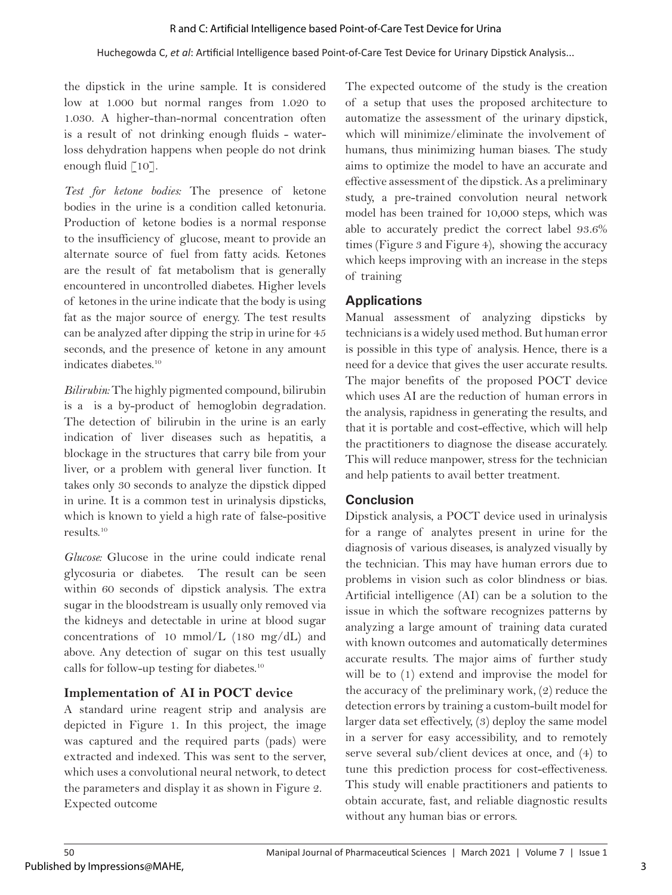#### Huchegowda C, *et al*: Artificial Intelligence based Point-of-Care Test Device for Urinary Dipstick Analysis...

the dipstick in the urine sample. It is considered low at 1.000 but normal ranges from 1.020 to 1.030. A higher-than-normal concentration often is a result of not drinking enough fluids - waterloss dehydration happens when people do not drink enough fluid [10].

*Test for ketone bodies:* The presence of ketone bodies in the urine is a condition called ketonuria. Production of ketone bodies is a normal response to the insufficiency of glucose, meant to provide an alternate source of fuel from fatty acids. Ketones are the result of fat metabolism that is generally encountered in uncontrolled diabetes. Higher levels of ketones in the urine indicate that the body is using fat as the major source of energy. The test results can be analyzed after dipping the strip in urine for 45 seconds, and the presence of ketone in any amount indicates diabetes.<sup>10</sup>

*Bilirubin:* The highly pigmented compound, bilirubin is a is a by-product of hemoglobin degradation. The detection of bilirubin in the urine is an early indication of liver diseases such as hepatitis, a blockage in the structures that carry bile from your liver, or a problem with general liver function. It takes only 30 seconds to analyze the dipstick dipped in urine. It is a common test in urinalysis dipsticks, which is known to yield a high rate of false-positive results.10

*Glucose:* Glucose in the urine could indicate renal glycosuria or diabetes. The result can be seen within 60 seconds of dipstick analysis. The extra sugar in the bloodstream is usually only removed via the kidneys and detectable in urine at blood sugar concentrations of 10 mmol/L (180 mg/dL) and above. Any detection of sugar on this test usually calls for follow-up testing for diabetes.10

### **Implementation of AI in POCT device**

A standard urine reagent strip and analysis are depicted in Figure 1. In this project, the image was captured and the required parts (pads) were extracted and indexed. This was sent to the server, which uses a convolutional neural network, to detect the parameters and display it as shown in Figure 2. Expected outcome

The expected outcome of the study is the creation of a setup that uses the proposed architecture to automatize the assessment of the urinary dipstick, which will minimize/eliminate the involvement of humans, thus minimizing human biases. The study aims to optimize the model to have an accurate and effective assessment of the dipstick. As a preliminary study, a pre-trained convolution neural network model has been trained for 10,000 steps, which was able to accurately predict the correct label 93.6% times (Figure 3 and Figure 4), showing the accuracy which keeps improving with an increase in the steps of training

## **Applications**

Manual assessment of analyzing dipsticks by technicians is a widely used method. But human error is possible in this type of analysis. Hence, there is a need for a device that gives the user accurate results. The major benefits of the proposed POCT device which uses AI are the reduction of human errors in the analysis, rapidness in generating the results, and that it is portable and cost-effective, which will help the practitioners to diagnose the disease accurately. This will reduce manpower, stress for the technician and help patients to avail better treatment.

## **Conclusion**

Dipstick analysis, a POCT device used in urinalysis for a range of analytes present in urine for the diagnosis of various diseases, is analyzed visually by the technician. This may have human errors due to problems in vision such as color blindness or bias. Artificial intelligence (AI) can be a solution to the issue in which the software recognizes patterns by analyzing a large amount of training data curated with known outcomes and automatically determines accurate results. The major aims of further study will be to  $(1)$  extend and improvise the model for the accuracy of the preliminary work, (2) reduce the detection errors by training a custom-built model for larger data set effectively, (3) deploy the same model in a server for easy accessibility, and to remotely serve several sub/client devices at once, and (4) to tune this prediction process for cost-effectiveness. This study will enable practitioners and patients to obtain accurate, fast, and reliable diagnostic results without any human bias or errors.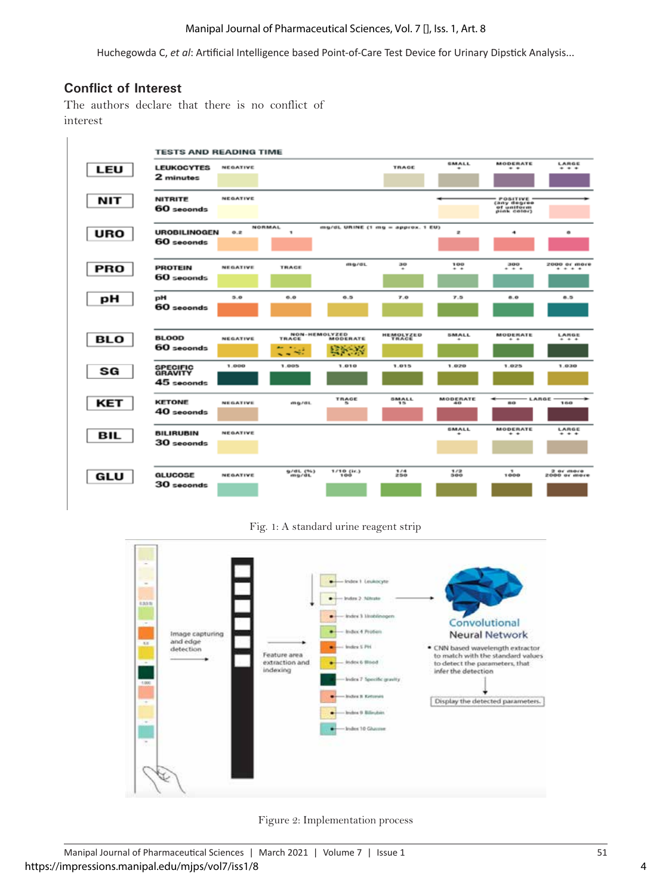#### Manipal Journal of Pharmaceutical Sciences, Vol. 7 [], Iss. 1, Art. 8

Huchegowda C, *et al*: Artificial Intelligence based Point-of-Care Test Device for Urinary Dipstick Analysis...

### **Conflict of Interest**

The authors declare that there is no conflict of interest



Fig. 1: A standard urine reagent strip



Figure 2: Implementation process